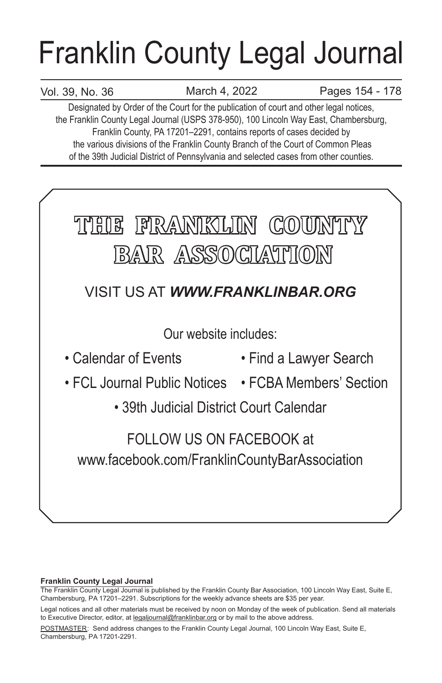# Franklin County Legal Journal

## Vol. 39, No. 36

March 4, 2022 Pages 154 - 178

Designated by Order of the Court for the publication of court and other legal notices, the Franklin County Legal Journal (USPS 378-950), 100 Lincoln Way East, Chambersburg, Franklin County, PA 17201–2291, contains reports of cases decided by the various divisions of the Franklin County Branch of the Court of Common Pleas of the 39th Judicial District of Pennsylvania and selected cases from other counties.



## **Franklin County Legal Journal**

The Franklin County Legal Journal is published by the Franklin County Bar Association, 100 Lincoln Way East, Suite E, Chambersburg, PA 17201–2291. Subscriptions for the weekly advance sheets are \$35 per year.

POSTMASTER: Send address changes to the Franklin County Legal Journal, 100 Lincoln Way East, Suite E, Chambersburg, PA 17201-2291.

Legal notices and all other materials must be received by noon on Monday of the week of publication. Send all materials to Executive Director, editor, at legaljournal@franklinbar.org or by mail to the above address.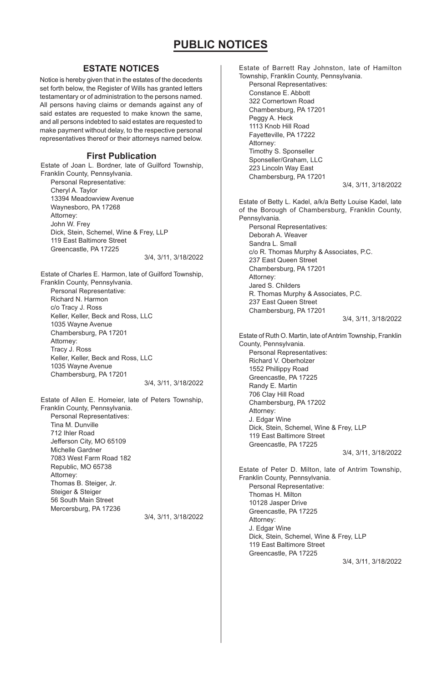## **ESTATE NOTICES**

Notice is hereby given that in the estates of the decedents set forth below, the Register of Wills has granted letters testamentary or of administration to the persons named. All persons having claims or demands against any of said estates are requested to make known the same, and all persons indebted to said estates are requested to make payment without delay, to the respective personal representatives thereof or their attorneys named below.

## **First Publication**

Estate of Joan L. Bordner, late of Guilford Township, Franklin County, Pennsylvania. Personal Representative:

Cheryl A. Taylor 13394 Meadowview Avenue Waynesboro, PA 17268 Attorney: John W. Frey Dick, Stein, Schemel, Wine & Frey, LLP 119 East Baltimore Street Greencastle, PA 17225 3/4, 3/11, 3/18/2022

Estate of Charles E. Harmon, late of Guilford Township, Franklin County, Pennsylvania. Personal Representative: Richard N. Harmon c/o Tracy J. Ross Keller, Keller, Beck and Ross, LLC 1035 Wayne Avenue Chambersburg, PA 17201 Attorney: Tracy J. Ross Keller, Keller, Beck and Ross, LLC 1035 Wayne Avenue Chambersburg, PA 17201 3/4, 3/11, 3/18/2022

Estate of Allen E. Homeier, late of Peters Township, Franklin County, Pennsylvania. Personal Representatives: Tina M. Dunville 712 Ihler Road Jefferson City, MO 65109 Michelle Gardner 7083 West Farm Road 182 Republic, MO 65738 Attorney: Thomas B. Steiger, Jr. Steiger & Steiger 56 South Main Street Mercersburg, PA 17236 3/4, 3/11, 3/18/2022 Estate of Barrett Ray Johnston, late of Hamilton Township, Franklin County, Pennsylvania. Personal Representatives: Constance E. Abbott 322 Cornertown Road Chambersburg, PA 17201 Peggy A. Heck 1113 Knob Hill Road Fayetteville, PA 17222 Attorney: Timothy S. Sponseller Sponseller/Graham, LLC 223 Lincoln Way East Chambersburg, PA 17201 3/4, 3/11, 3/18/2022 Estate of Betty L. Kadel, a/k/a Betty Louise Kadel, late of the Borough of Chambersburg, Franklin County, Pennsylvania. Personal Representatives: Deborah A. Weaver Sandra L. Small c/o R. Thomas Murphy & Associates, P.C. 237 East Queen Street Chambersburg, PA 17201 Attorney: Jared S. Childers R. Thomas Murphy & Associates, P.C. 237 East Queen Street Chambersburg, PA 17201 3/4, 3/11, 3/18/2022 Estate of Ruth O. Martin, late of Antrim Township, Franklin County, Pennsylvania. Personal Representatives: Richard V. Oberholzer 1552 Phillippy Road Greencastle, PA 17225 Randy E. Martin 706 Clay Hill Road Chambersburg, PA 17202 Attorney: J. Edgar Wine Dick, Stein, Schemel, Wine & Frey, LLP 119 East Baltimore Street Greencastle, PA 17225 3/4, 3/11, 3/18/2022 Estate of Peter D. Milton, late of Antrim Township, Franklin County, Pennsylvania. Personal Representative: Thomas H. Milton 10128 Jasper Drive Greencastle, PA 17225 Attorney: J. Edgar Wine Dick, Stein, Schemel, Wine & Frey, LLP

119 East Baltimore Street Greencastle, PA 17225

3/4, 3/11, 3/18/2022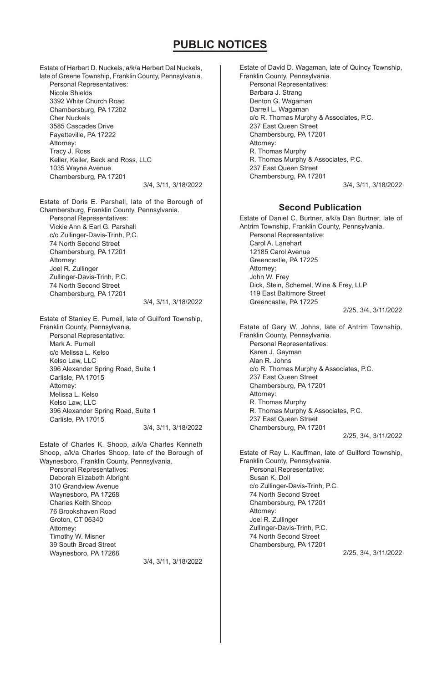Estate of Herbert D. Nuckels, a/k/a Herbert Dal Nuckels, late of Greene Township, Franklin County, Pennsylvania. Personal Representatives: Nicole Shields 3392 White Church Road Chambersburg, PA 17202 Cher Nuckels 3585 Cascades Drive Fayetteville, PA 17222 Attorney: Tracy J. Ross Keller, Keller, Beck and Ross, LLC 1035 Wayne Avenue Chambersburg, PA 17201 3/4, 3/11, 3/18/2022

Estate of Doris E. Parshall, late of the Borough of Chambersburg, Franklin County, Pennsylvania. Personal Representatives: Vickie Ann & Earl G. Parshall c/o Zullinger-Davis-Trinh, P.C. 74 North Second Street Chambersburg, PA 17201 Attorney: Joel R. Zullinger Zullinger-Davis-Trinh, P.C. 74 North Second Street Chambersburg, PA 17201 3/4, 3/11, 3/18/2022

Estate of Stanley E. Purnell, late of Guilford Township, Franklin County, Pennsylvania. Personal Representative: Mark A. Purnell c/o Melissa L. Kelso Kelso Law, LLC 396 Alexander Spring Road, Suite 1 Carlisle, PA 17015 Attorney: Melissa L. Kelso Kelso Law, LLC 396 Alexander Spring Road, Suite 1 Carlisle, PA 17015 3/4, 3/11, 3/18/2022

Estate of Charles K. Shoop, a/k/a Charles Kenneth Shoop, a/k/a Charles Shoop, late of the Borough of Waynesboro, Franklin County, Pennsylvania.

Personal Representatives: Deborah Elizabeth Albright 310 Grandview Avenue Waynesboro, PA 17268 Charles Keith Shoop 76 Brookshaven Road Groton, CT 06340 Attorney: Timothy W. Misner 39 South Broad Street Waynesboro, PA 17268

3/4, 3/11, 3/18/2022

Estate of David D. Wagaman, late of Quincy Township, Franklin County, Pennsylvania. Personal Representatives: Barbara J. Strang Denton G. Wagaman Darrell L. Wagaman c/o R. Thomas Murphy & Associates, P.C. 237 East Queen Street Chambersburg, PA 17201 Attorney: R. Thomas Murphy R. Thomas Murphy & Associates, P.C. 237 East Queen Street Chambersburg, PA 17201 3/4, 3/11, 3/18/2022

## **Second Publication**

Estate of Daniel C. Burtner, a/k/a Dan Burtner, late of Antrim Township, Franklin County, Pennsylvania. Personal Representative: Carol A. Lanehart 12185 Carol Avenue Greencastle, PA 17225 Attorney: John W. Frey Dick, Stein, Schemel, Wine & Frey, LLP 119 East Baltimore Street Greencastle, PA 17225 2/25, 3/4, 3/11/2022

Estate of Gary W. Johns, late of Antrim Township, Franklin County, Pennsylvania. Personal Representatives: Karen J. Gayman Alan R. Johns c/o R. Thomas Murphy & Associates, P.C. 237 East Queen Street Chambersburg, PA 17201 Attorney: R. Thomas Murphy R. Thomas Murphy & Associates, P.C. 237 East Queen Street Chambersburg, PA 17201 2/25, 3/4, 3/11/2022

Estate of Ray L. Kauffman, late of Guilford Township, Franklin County, Pennsylvania. Personal Representative: Susan K. Doll c/o Zullinger-Davis-Trinh, P.C. 74 North Second Street Chambersburg, PA 17201 Attorney: Joel R. Zullinger Zullinger-Davis-Trinh, P.C. 74 North Second Street Chambersburg, PA 17201 2/25, 3/4, 3/11/2022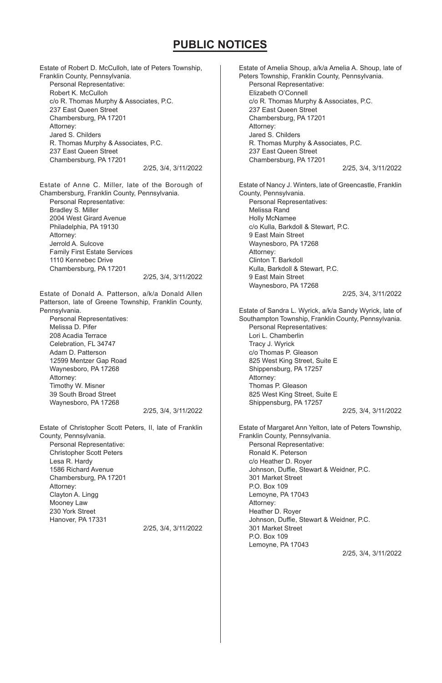Estate of Robert D. McCulloh, late of Peters Township, Franklin County, Pennsylvania. Personal Representative: Robert K. McCulloh c/o R. Thomas Murphy & Associates, P.C. 237 East Queen Street Chambersburg, PA 17201 Attorney: Jared S. Childers R. Thomas Murphy & Associates, P.C. 237 East Queen Street Chambersburg, PA 17201 2/25, 3/4, 3/11/2022 Estate of Anne C. Miller, late of the Borough of Chambersburg, Franklin County, Pennsylvania. Personal Representative: Bradley S. Miller 2004 West Girard Avenue Philadelphia, PA 19130 Attorney: Jerrold A. Sulcove Family First Estate Services 1110 Kennebec Drive Chambersburg, PA 17201 2/25, 3/4, 3/11/2022 Estate of Donald A. Patterson, a/k/a Donald Allen Patterson, late of Greene Township, Franklin County, Pennsylvania. Personal Representatives: Melissa D. Pifer 208 Acadia Terrace Celebration, FL 34747 Adam D. Patterson 12599 Mentzer Gap Road Waynesboro, PA 17268 Attorney: Timothy W. Misner 39 South Broad Street Waynesboro, PA 17268 2/25, 3/4, 3/11/2022 Estate of Christopher Scott Peters, II, late of Franklin County, Pennsylvania. Personal Representative: Christopher Scott Peters Lesa R. Hardy 1586 Richard Avenue Chambersburg, PA 17201 Attorney: Clayton A. Lingg Mooney Law 230 York Street Hanover, PA 17331 2/25, 3/4, 3/11/2022 Estate of Amelia Shoup, a/k/a Amelia A. Shoup, late of Peters Township, Franklin County, Pennsylvania. Personal Representative: Elizabeth O'Connell c/o R. Thomas Murphy & Associates, P.C. 237 East Queen Street Chambersburg, PA 17201 Attorney: Jared S. Childers R. Thomas Murphy & Associates, P.C. 237 East Queen Street Chambersburg, PA 17201 2/25, 3/4, 3/11/2022 Estate of Nancy J. Winters, late of Greencastle, Franklin County, Pennsylvania. Personal Representatives: Melissa Rand Holly McNamee c/o Kulla, Barkdoll & Stewart, P.C. 9 East Main Street Waynesboro, PA 17268 Attorney: Clinton T. Barkdoll Kulla, Barkdoll & Stewart, P.C. 9 East Main Street Waynesboro, PA 17268 2/25, 3/4, 3/11/2022 Estate of Sandra L. Wyrick, a/k/a Sandy Wyrick, late of Southampton Township, Franklin County, Pennsylvania. Personal Representatives: Lori L. Chamberlin Tracy J. Wyrick c/o Thomas P. Gleason 825 West King Street, Suite E Shippensburg, PA 17257 Attorney: Thomas P. Gleason 825 West King Street, Suite E Shippensburg, PA 17257 2/25, 3/4, 3/11/2022 Estate of Margaret Ann Yelton, late of Peters Township, Franklin County, Pennsylvania. Personal Representative: Ronald K. Peterson c/o Heather D. Royer Johnson, Duffie, Stewart & Weidner, P.C. 301 Market Street P.O. Box 109 Lemoyne, PA 17043 Attorney: Heather D. Royer Johnson, Duffie, Stewart & Weidner, P.C. 301 Market Street P.O. Box 109 Lemoyne, PA 17043 2/25, 3/4, 3/11/2022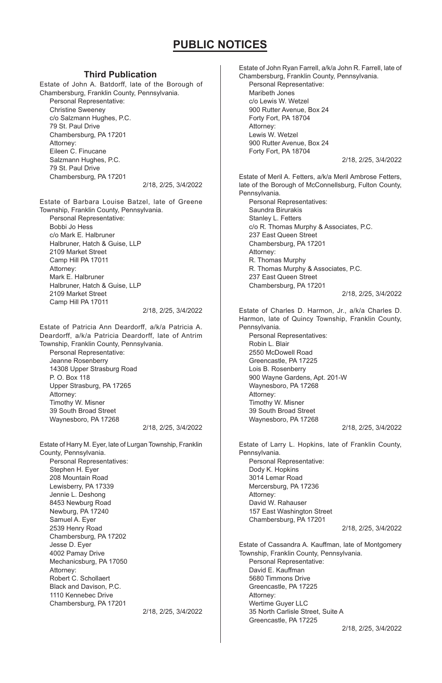## **Third Publication**

Estate of John A. Batdorff, late of the Borough of Chambersburg, Franklin County, Pennsylvania. Personal Representative: Christine Sweeney c/o Salzmann Hughes, P.C. 79 St. Paul Drive Chambersburg, PA 17201 Attorney: Eileen C. Finucane Salzmann Hughes, P.C. 79 St. Paul Drive Chambersburg, PA 17201 2/18, 2/25, 3/4/2022

Estate of Barbara Louise Batzel, late of Greene Township, Franklin County, Pennsylvania. Personal Representative: Bobbi Jo Hess c/o Mark E. Halbruner Halbruner, Hatch & Guise, LLP 2109 Market Street Camp Hill PA 17011 Attorney: Mark E. Halbruner Halbruner, Hatch & Guise, LLP 2109 Market Street Camp Hill PA 17011 2/18, 2/25, 3/4/2022

Estate of Patricia Ann Deardorff, a/k/a Patricia A. Deardorff, a/k/a Patricia Deardorff, late of Antrim Township, Franklin County, Pennsylvania.

Personal Representative: Jeanne Rosenberry 14308 Upper Strasburg Road P. O. Box 118 Upper Strasburg, PA 17265 Attorney: Timothy W. Misner 39 South Broad Street Waynesboro, PA 17268

2/18, 2/25, 3/4/2022

Estate of Harry M. Eyer, late of Lurgan Township, Franklin County, Pennsylvania. Personal Representatives: Stephen H. Eyer 208 Mountain Road Lewisberry, PA 17339 Jennie L. Deshong 8453 Newburg Road Newburg, PA 17240 Samuel A. Eyer 2539 Henry Road Chambersburg, PA 17202 Jesse D. Eyer 4002 Pamay Drive Mechanicsburg, PA 17050 Attorney: Robert C. Schollaert Black and Davison, P.C. 1110 Kennebec Drive Chambersburg, PA 17201 2/18, 2/25, 3/4/2022 Estate of John Ryan Farrell, a/k/a John R. Farrell, late of Chambersburg, Franklin County, Pennsylvania. Personal Representative: Maribeth Jones c/o Lewis W. Wetzel 900 Rutter Avenue, Box 24 Forty Fort, PA 18704 Attorney: Lewis W. Wetzel 900 Rutter Avenue, Box 24 Forty Fort, PA 18704 2/18, 2/25, 3/4/2022 Estate of Meril A. Fetters, a/k/a Meril Ambrose Fetters, late of the Borough of McConnellsburg, Fulton County, Pennsylvania. Personal Representatives: Saundra Birurakis Stanley L. Fetters c/o R. Thomas Murphy & Associates, P.C. 237 East Queen Street Chambersburg, PA 17201 Attorney: R. Thomas Murphy R. Thomas Murphy & Associates, P.C. 237 East Queen Street Chambersburg, PA 17201 2/18, 2/25, 3/4/2022 Estate of Charles D. Harmon, Jr., a/k/a Charles D. Harmon, late of Quincy Township, Franklin County, Pennsylvania. Personal Representatives: Robin L. Blair 2550 McDowell Road Greencastle, PA 17225 Lois B. Rosenberry 900 Wayne Gardens, Apt. 201-W Waynesboro, PA 17268 Attorney: Timothy W. Misner 39 South Broad Street Waynesboro, PA 17268 2/18, 2/25, 3/4/2022 Estate of Larry L. Hopkins, late of Franklin County, Pennsylvania. Personal Representative: Dody K. Hopkins 3014 Lemar Road Mercersburg, PA 17236 Attorney: David W. Rahauser 157 East Washington Street Chambersburg, PA 17201 2/18, 2/25, 3/4/2022 Estate of Cassandra A. Kauffman, late of Montgomery Township, Franklin County, Pennsylvania. Personal Representative:

David E. Kauffman 5680 Timmons Drive Greencastle, PA 17225 Attorney: Wertime Guyer LLC 35 North Carlisle Street, Suite A Greencastle, PA 17225

2/18, 2/25, 3/4/2022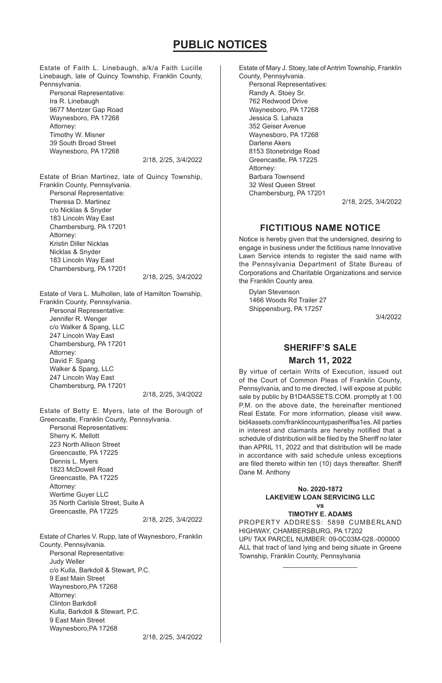Estate of Faith L. Linebaugh, a/k/a Faith Lucille Linebaugh, late of Quincy Township, Franklin County, Pennsylvania. Personal Representative: Ira R. Linebaugh 9677 Mentzer Gap Road

Waynesboro, PA 17268 Attorney: Timothy W. Misner 39 South Broad Street Waynesboro, PA 17268

2/18, 2/25, 3/4/2022

Estate of Brian Martinez, late of Quincy Township, Franklin County, Pennsylvania. Personal Representative: Theresa D. Martinez c/o Nicklas & Snyder 183 Lincoln Way East Chambersburg, PA 17201 Attorney: Kristin Diller Nicklas Nicklas & Snyder 183 Lincoln Way East

Chambersburg, PA 17201

2/18, 2/25, 3/4/2022

Estate of Vera L. Mulhollen, late of Hamilton Township, Franklin County, Pennsylvania. Personal Representative:

Jennifer R. Wenger c/o Walker & Spang, LLC 247 Lincoln Way East Chambersburg, PA 17201 Attorney: David F. Spang Walker & Spang, LLC 247 Lincoln Way East Chambersburg, PA 17201

2/18, 2/25, 3/4/2022

Estate of Betty E. Myers, late of the Borough of Greencastle, Franklin County, Pennsylvania. Personal Representatives: Sherry K. Mellott 223 North Allison Street Greencastle, PA 17225 Dennis L. Myers 1823 McDowell Road Greencastle, PA 17225 Attorney: Wertime Guyer LLC 35 North Carlisle Street, Suite A Greencastle, PA 17225

2/18, 2/25, 3/4/2022

Estate of Charles V. Rupp, late of Waynesboro, Franklin County, Pennsylvania. Personal Representative: Judy Weller c/o Kulla, Barkdoll & Stewart, P.C. 9 East Main Street Waynesboro,PA 17268 Attorney: Clinton Barkdoll Kulla, Barkdoll & Stewart, P.C. 9 East Main Street Waynesboro,PA 17268

Estate of Mary J. Stoey, late of Antrim Township, Franklin County, Pennsylvania. Personal Representatives: Randy A. Stoey Sr. 762 Redwood Drive Waynesboro, PA 17268 Jessica S. Lahaza 352 Geiser Avenue Waynesboro, PA 17268 Darlene Akers 8153 Stonebridge Road Greencastle, PA 17225 Attorney: Barbara Townsend 32 West Queen Street Chambersburg, PA 17201

2/18, 2/25, 3/4/2022

## **FICTITIOUS NAME NOTICE**

Notice is hereby given that the undersigned, desiring to engage in business under the fictitious name Innovative Lawn Service intends to register the said name with the Pennsylvania Department of State Bureau of Corporations and Charitable Organizations and service the Franklin County area.

Dylan Stevenson 1466 Woods Rd Trailer 27 Shippensburg, PA 17257

3/4/2022

# **SHERIFF'S SALE**

**March 11, 2022**

By virtue of certain Writs of Execution, issued out of the Court of Common Pleas of Franklin County, Pennsylvania, and to me directed, I will expose at public sale by public by B1D4ASSETS.COM. promptly at 1:00 P.M. on the above date, the hereinafter mentioned Real Estate. For more information, please visit www. bid4assets.com/franklincountypasheriffsa1es. All parties in interest and claimants are hereby notified that a schedule of distribution will be filed by the Sheriff no later than APRIL 11, 2022 and that distribution will be made in accordance with said schedule unless exceptions are filed thereto within ten (10) days thereafter. Sheriff Dane M. Anthony

#### **No. 2020-1872 LAKEVIEW LOAN SERVICING LLC vs**

**TIMOTHY E. ADAMS**

PROPERTY ADDRESS: 5898 CUMBERLAND HIGHWAY, CHAMBERSBURG, PA 17202 UPI/ TAX PARCEL NUMBER: 09-0C03M-028.-000000 ALL that tract of land lying and being situate in Greene Township, Franklin County, Pennsylvania

\_\_\_\_\_\_\_\_\_\_\_\_\_\_\_\_\_\_\_\_